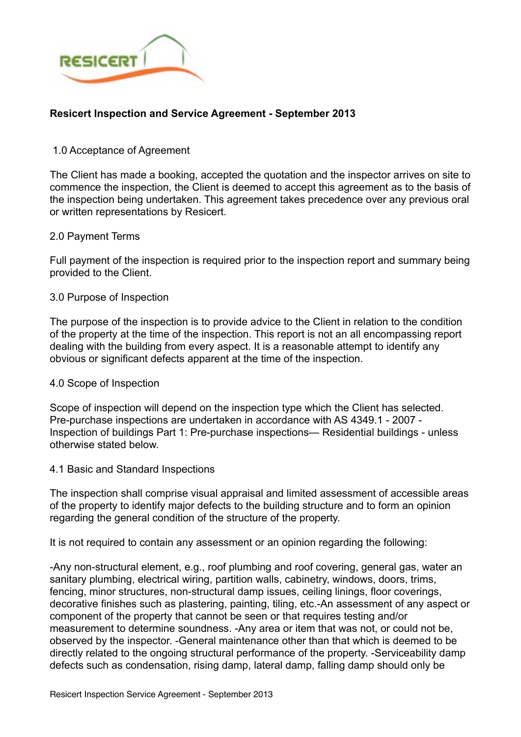

# **Resicert Inspection and Service Agreement - September 2013**

## 1.0 Acceptance of Agreement

The Client has made a booking, accepted the quotation and the inspector arrives on site to commence the inspection, the Client is deemed to accept this agreement as to the basis of the inspection being undertaken. This agreement takes precedence over any previous oral or written representations by Resicert.

#### 2.0 Payment Terms

Full payment of the inspection is required prior to the inspection report and summary being provided to the Client.

### 3.0 Purpose of Inspection

The purpose of the inspection is to provide advice to the Client in relation to the condition of the property at the time of the inspection. This report is not an all encompassing report dealing with the building from every aspect. It is a reasonable attempt to identify any obvious or significant defects apparent at the time of the inspection.

#### 4.0 Scope of Inspection

Scope of inspection will depend on the inspection type which the Client has selected. Pre-purchase inspections are undertaken in accordance with AS 4349.1 - 2007 - Inspection of buildings Part 1: Pre-purchase inspections— Residential buildings - unless otherwise stated below.

#### 4.1 Basic and Standard Inspections

The inspection shall comprise visual appraisal and limited assessment of accessible areas of the property to identify major defects to the building structure and to form an opinion regarding the general condition of the structure of the property.

It is not required to contain any assessment or an opinion regarding the following:

-Any non-structural element, e.g., roof plumbing and roof covering, general gas, water an sanitary plumbing, electrical wiring, partition walls, cabinetry, windows, doors, trims, fencing, minor structures, non-structural damp issues, ceiling linings, floor coverings, decorative finishes such as plastering, painting, tiling, etc.-An assessment of any aspect or component of the property that cannot be seen or that requires testing and/or measurement to determine soundness. -Any area or item that was not, or could not be, observed by the inspector. -General maintenance other than that which is deemed to be directly related to the ongoing structural performance of the property. -Serviceability damp defects such as condensation, rising damp, lateral damp, falling damp should only be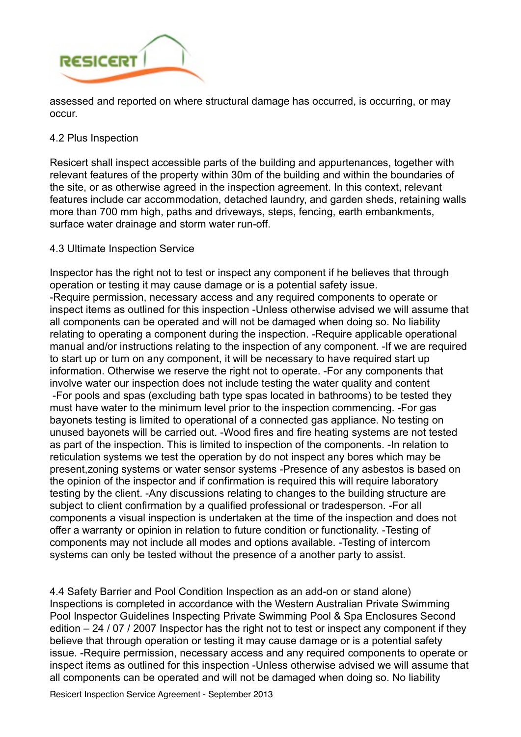

assessed and reported on where structural damage has occurred, is occurring, or may occur.

### 4.2 Plus Inspection

Resicert shall inspect accessible parts of the building and appurtenances, together with relevant features of the property within 30m of the building and within the boundaries of the site, or as otherwise agreed in the inspection agreement. In this context, relevant features include car accommodation, detached laundry, and garden sheds, retaining walls more than 700 mm high, paths and driveways, steps, fencing, earth embankments, surface water drainage and storm water run-off.

## 4.3 Ultimate Inspection Service

Inspector has the right not to test or inspect any component if he believes that through operation or testing it may cause damage or is a potential safety issue. -Require permission, necessary access and any required components to operate or inspect items as outlined for this inspection -Unless otherwise advised we will assume that all components can be operated and will not be damaged when doing so. No liability relating to operating a component during the inspection. -Require applicable operational manual and/or instructions relating to the inspection of any component. -If we are required to start up or turn on any component, it will be necessary to have required start up information. Otherwise we reserve the right not to operate. -For any components that involve water our inspection does not include testing the water quality and content -For pools and spas (excluding bath type spas located in bathrooms) to be tested they must have water to the minimum level prior to the inspection commencing. -For gas bayonets testing is limited to operational of a connected gas appliance. No testing on unused bayonets will be carried out. -Wood fires and fire heating systems are not tested as part of the inspection. This is limited to inspection of the components. -In relation to reticulation systems we test the operation by do not inspect any bores which may be present,zoning systems or water sensor systems -Presence of any asbestos is based on the opinion of the inspector and if confirmation is required this will require laboratory testing by the client. -Any discussions relating to changes to the building structure are subject to client confirmation by a qualified professional or tradesperson. -For all components a visual inspection is undertaken at the time of the inspection and does not offer a warranty or opinion in relation to future condition or functionality. -Testing of components may not include all modes and options available. -Testing of intercom systems can only be tested without the presence of a another party to assist.

4.4 Safety Barrier and Pool Condition Inspection as an add-on or stand alone) Inspections is completed in accordance with the Western Australian Private Swimming Pool Inspector Guidelines Inspecting Private Swimming Pool & Spa Enclosures Second edition – 24 / 07 / 2007 Inspector has the right not to test or inspect any component if they believe that through operation or testing it may cause damage or is a potential safety issue. -Require permission, necessary access and any required components to operate or inspect items as outlined for this inspection -Unless otherwise advised we will assume that all components can be operated and will not be damaged when doing so. No liability

Resicert Inspection Service Agreement - September 2013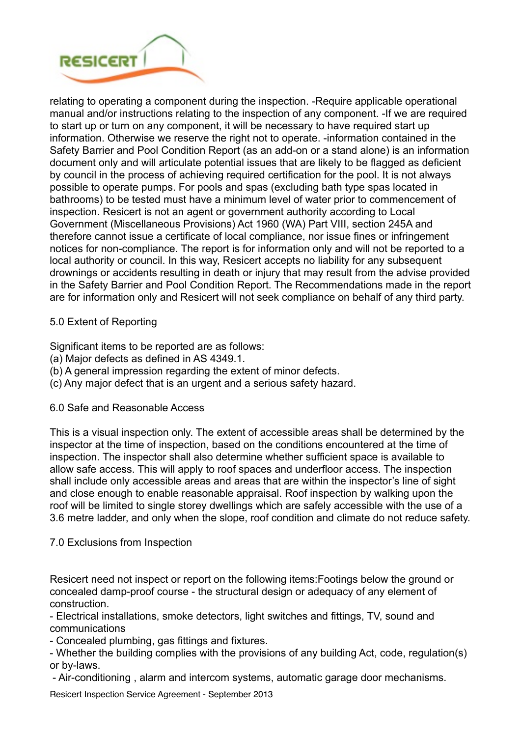

relating to operating a component during the inspection. -Require applicable operational manual and/or instructions relating to the inspection of any component. -If we are required to start up or turn on any component, it will be necessary to have required start up information. Otherwise we reserve the right not to operate. -information contained in the Safety Barrier and Pool Condition Report (as an add-on or a stand alone) is an information document only and will articulate potential issues that are likely to be flagged as deficient by council in the process of achieving required certification for the pool. It is not always possible to operate pumps. For pools and spas (excluding bath type spas located in bathrooms) to be tested must have a minimum level of water prior to commencement of inspection. Resicert is not an agent or government authority according to Local Government (Miscellaneous Provisions) Act 1960 (WA) Part VIII, section 245A and therefore cannot issue a certificate of local compliance, nor issue fines or infringement notices for non-compliance. The report is for information only and will not be reported to a local authority or council. In this way, Resicert accepts no liability for any subsequent drownings or accidents resulting in death or injury that may result from the advise provided in the Safety Barrier and Pool Condition Report. The Recommendations made in the report are for information only and Resicert will not seek compliance on behalf of any third party.

# 5.0 Extent of Reporting

Significant items to be reported are as follows:

- (a) Major defects as defined in AS 4349.1.
- (b) A general impression regarding the extent of minor defects.
- (c) Any major defect that is an urgent and a serious safety hazard.

## 6.0 Safe and Reasonable Access

This is a visual inspection only. The extent of accessible areas shall be determined by the inspector at the time of inspection, based on the conditions encountered at the time of inspection. The inspector shall also determine whether sufficient space is available to allow safe access. This will apply to roof spaces and underfloor access. The inspection shall include only accessible areas and areas that are within the inspector's line of sight and close enough to enable reasonable appraisal. Roof inspection by walking upon the roof will be limited to single storey dwellings which are safely accessible with the use of a 3.6 metre ladder, and only when the slope, roof condition and climate do not reduce safety.

## 7.0 Exclusions from Inspection

Resicert need not inspect or report on the following items:Footings below the ground or concealed damp-proof course - the structural design or adequacy of any element of construction.

- Electrical installations, smoke detectors, light switches and fittings, TV, sound and communications

- Concealed plumbing, gas fittings and fixtures.

- Whether the building complies with the provisions of any building Act, code, regulation(s) or by-laws.

- Air-conditioning , alarm and intercom systems, automatic garage door mechanisms.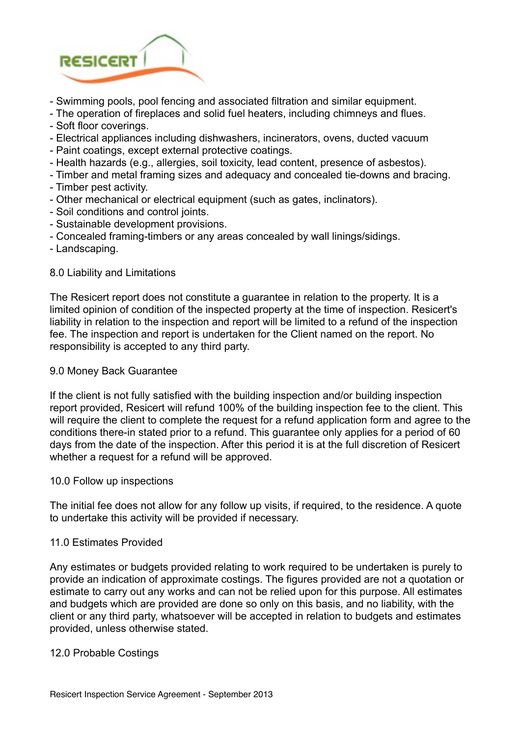

- Swimming pools, pool fencing and associated filtration and similar equipment.
- The operation of fireplaces and solid fuel heaters, including chimneys and flues.
- Soft floor coverings.
- Electrical appliances including dishwashers, incinerators, ovens, ducted vacuum
- Paint coatings, except external protective coatings.
- Health hazards (e.g., allergies, soil toxicity, lead content, presence of asbestos).
- Timber and metal framing sizes and adequacy and concealed tie-downs and bracing.
- Timber pest activity.
- Other mechanical or electrical equipment (such as gates, inclinators).
- Soil conditions and control joints.
- Sustainable development provisions.
- Concealed framing-timbers or any areas concealed by wall linings/sidings.
- Landscaping.

#### 8.0 Liability and Limitations

The Resicert report does not constitute a guarantee in relation to the property. It is a limited opinion of condition of the inspected property at the time of inspection. Resicert's liability in relation to the inspection and report will be limited to a refund of the inspection fee. The inspection and report is undertaken for the Client named on the report. No responsibility is accepted to any third party.

### 9.0 Money Back Guarantee

If the client is not fully satisfied with the building inspection and/or building inspection report provided, Resicert will refund 100% of the building inspection fee to the client. This will require the client to complete the request for a refund application form and agree to the conditions there-in stated prior to a refund. This guarantee only applies for a period of 60 days from the date of the inspection. After this period it is at the full discretion of Resicert whether a request for a refund will be approved.

#### 10.0 Follow up inspections

The initial fee does not allow for any follow up visits, if required, to the residence. A quote to undertake this activity will be provided if necessary.

#### 11.0 Estimates Provided

Any estimates or budgets provided relating to work required to be undertaken is purely to provide an indication of approximate costings. The figures provided are not a quotation or estimate to carry out any works and can not be relied upon for this purpose. All estimates and budgets which are provided are done so only on this basis, and no liability, with the client or any third party, whatsoever will be accepted in relation to budgets and estimates provided, unless otherwise stated.

#### 12.0 Probable Costings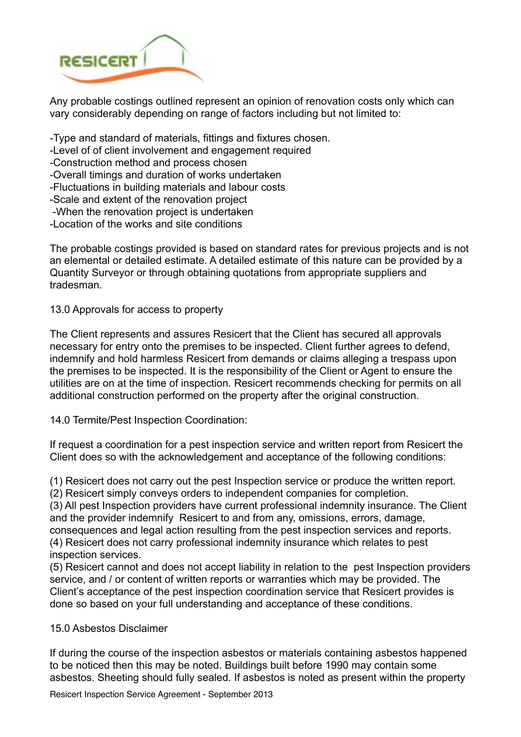

Any probable costings outlined represent an opinion of renovation costs only which can vary considerably depending on range of factors including but not limited to:

-Type and standard of materials, fittings and fixtures chosen.

- -Level of of client involvement and engagement required
- -Construction method and process chosen
- -Overall timings and duration of works undertaken
- -Fluctuations in building materials and labour costs
- -Scale and extent of the renovation project
- -When the renovation project is undertaken
- -Location of the works and site conditions

The probable costings provided is based on standard rates for previous projects and is not an elemental or detailed estimate. A detailed estimate of this nature can be provided by a Quantity Surveyor or through obtaining quotations from appropriate suppliers and tradesman.

# 13.0 Approvals for access to property

The Client represents and assures Resicert that the Client has secured all approvals necessary for entry onto the premises to be inspected. Client further agrees to defend, indemnify and hold harmless Resicert from demands or claims alleging a trespass upon the premises to be inspected. It is the responsibility of the Client or Agent to ensure the utilities are on at the time of inspection. Resicert recommends checking for permits on all additional construction performed on the property after the original construction.

## 14.0 Termite/Pest Inspection Coordination:

If request a coordination for a pest inspection service and written report from Resicert the Client does so with the acknowledgement and acceptance of the following conditions:

(1) Resicert does not carry out the pest Inspection service or produce the written report.

(2) Resicert simply conveys orders to independent companies for completion.

(3) All pest Inspection providers have current professional indemnity insurance. The Client and the provider indemnify Resicert to and from any, omissions, errors, damage, consequences and legal action resulting from the pest inspection services and reports.

(4) Resicert does not carry professional indemnity insurance which relates to pest inspection services.

(5) Resicert cannot and does not accept liability in relation to the pest Inspection providers service, and / or content of written reports or warranties which may be provided. The Client's acceptance of the pest inspection coordination service that Resicert provides is done so based on your full understanding and acceptance of these conditions.

## 15.0 Asbestos Disclaimer

If during the course of the inspection asbestos or materials containing asbestos happened to be noticed then this may be noted. Buildings built before 1990 may contain some asbestos. Sheeting should fully sealed. If asbestos is noted as present within the property